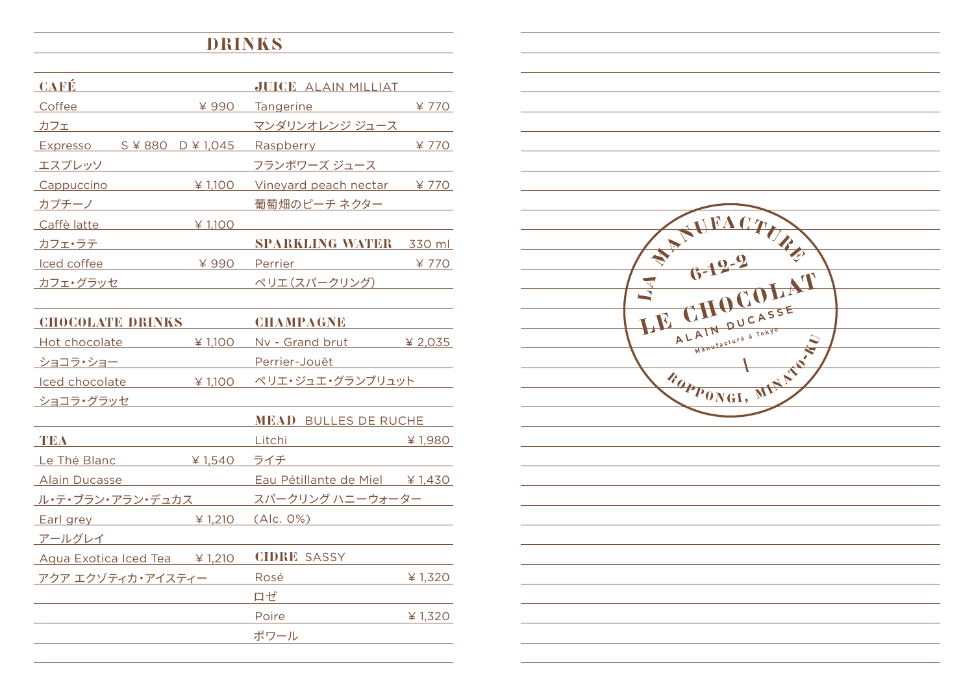## drinks

| <b>CAFÉ</b>                               |         | <b>JUICE ALAIN MILLIAT</b> |        |
|-------------------------------------------|---------|----------------------------|--------|
| Coffee                                    | ¥990    | Tangerine <b>Tangering</b> | ¥ 770  |
| カフェ                                       |         | マンダリンオレンジ ジュース             |        |
| Expresso $S \not\cong 880$ D $\neq 1,045$ |         | Raspberry <b>Raspons</b>   | ¥ 770  |
| エスプレッソ                                    |         | フランボワーズ ジュース               |        |
| Cappuccino                                | ¥ 1,100 | Vineyard peach nectar      | ¥770   |
| カプチーノ                                     |         | 葡萄畑のピーチ ネクター               |        |
| Caffè latte                               | ¥ 1.100 |                            |        |
| カフェ・ラテ                                    |         | <b>SPARKLING WATER</b>     | 330 ml |
| Iced coffee                               | ¥990    | Perrier                    | ¥ 770  |
| カフェ・グラッセ                                  |         | ペリエ (スパークリング)              |        |

| <b>CHOCOLATE DRINKS</b>                                                                                                                                                                                                        |           | <b>CHAMPAGNE</b>               |           |
|--------------------------------------------------------------------------------------------------------------------------------------------------------------------------------------------------------------------------------|-----------|--------------------------------|-----------|
| Hot chocolate and the state of the state of the state of the state of the state of the state of the state of the state of the state of the state of the state of the state of the state of the state of the state of the state | ¥ 1,100   | Nv - Grand brut                | ¥ 2,035   |
| ショコラ・ショー                                                                                                                                                                                                                       |           | Perrier-Jouët                  |           |
| Iced chocolate                                                                                                                                                                                                                 | ¥ 1,100   | ペリエ・ジュエ・グランブリュット               |           |
| ショコラ・グラッセ                                                                                                                                                                                                                      |           |                                |           |
|                                                                                                                                                                                                                                |           | <b>MEAD BULLES DE RUCHE</b>    |           |
| TEA                                                                                                                                                                                                                            |           | Litchi                         | ¥ $1,980$ |
| Le Thé Blanc                                                                                                                                                                                                                   | ¥ $1,540$ | ライチ                            |           |
| <b>Alain Ducasse</b>                                                                                                                                                                                                           |           | Eau Pétillante de Miel ¥ 1,430 |           |
| <u>ル・テ・ブラン・アラン・デュカス</u>                                                                                                                                                                                                        |           | スパークリング ハニーウォーター               |           |
| $Earl$ grey $\frac{1}{210}$                                                                                                                                                                                                    |           | (Alc. 0%)                      |           |
| アールグレイ                                                                                                                                                                                                                         |           |                                |           |
| Aqua Exotica Iced Tea $\frac{1}{2}$ 1,210                                                                                                                                                                                      |           | <b>CIDRE SASSY</b>             |           |
| アクア エクゾティカ・アイスティー                                                                                                                                                                                                              |           | Rosé                           | ¥ $1,320$ |
|                                                                                                                                                                                                                                |           | ロゼ                             |           |
|                                                                                                                                                                                                                                |           | Poire                          | ¥ 1,320   |
|                                                                                                                                                                                                                                |           | ポワール                           |           |
|                                                                                                                                                                                                                                |           |                                |           |